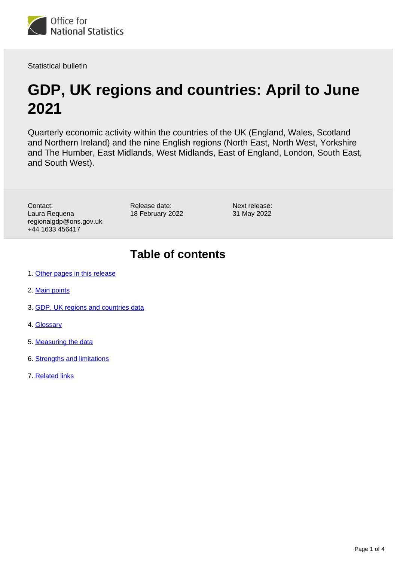

Statistical bulletin

# **GDP, UK regions and countries: April to June 2021**

Quarterly economic activity within the countries of the UK (England, Wales, Scotland and Northern Ireland) and the nine English regions (North East, North West, Yorkshire and The Humber, East Midlands, West Midlands, East of England, London, South East, and South West).

Contact: Laura Requena regionalgdp@ons.gov.uk +44 1633 456417

Release date: 18 February 2022

Next release: 31 May 2022

## **Table of contents**

- 1. [Other pages in this release](#page-1-0)
- 2. [Main points](#page-1-1)
- 3. [GDP, UK regions and countries data](#page-1-2)
- 4. [Glossary](#page-1-3)
- 5. [Measuring the data](#page-2-0)
- 6. [Strengths and limitations](#page-3-0)
- 7. [Related links](#page-3-1)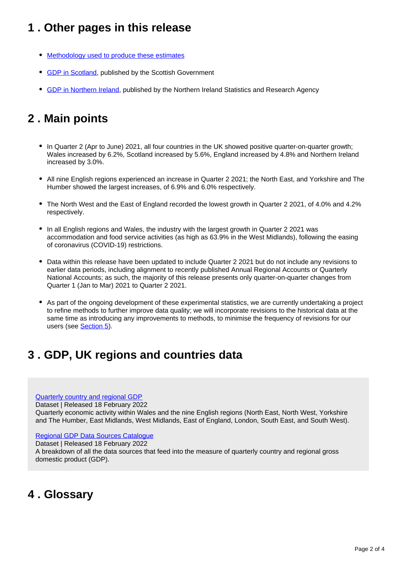## <span id="page-1-0"></span>**1 . Other pages in this release**

- [Methodology used to produce these estimates](http://www.ons.gov.uk/economy/grossdomesticproductgdp/methodologies/introducinggdpforthecountriesoftheukandtheregionsofengland)
- [GDP in Scotland](https://www.gov.scot/publications/gdp-quarterly-national-accounts-2021-q2/), published by the Scottish Government
- **GDP** in Northern Ireland, published by the Northern Ireland Statistics and Research Agency

## <span id="page-1-1"></span>**2 . Main points**

- In Quarter 2 (Apr to June) 2021, all four countries in the UK showed positive quarter-on-quarter growth; Wales increased by 6.2%, Scotland increased by 5.6%, England increased by 4.8% and Northern Ireland increased by 3.0%.
- All nine English regions experienced an increase in Quarter 2 2021; the North East, and Yorkshire and The Humber showed the largest increases, of 6.9% and 6.0% respectively.
- The North West and the East of England recorded the lowest growth in Quarter 2 2021, of 4.0% and 4.2% respectively.
- In all English regions and Wales, the industry with the largest growth in Quarter 2 2021 was accommodation and food service activities (as high as 63.9% in the West Midlands), following the easing of coronavirus (COVID-19) restrictions.
- Data within this release have been updated to include Quarter 2 2021 but do not include any revisions to earlier data periods, including alignment to recently published Annual Regional Accounts or Quarterly National Accounts; as such, the majority of this release presents only quarter-on-quarter changes from Quarter 1 (Jan to Mar) 2021 to Quarter 2 2021.
- As part of the ongoing development of these experimental statistics, we are currently undertaking a project to refine methods to further improve data quality; we will incorporate revisions to the historical data at the same time as introducing any improvements to methods, to minimise the frequency of revisions for our users (see **Section 5**).

### <span id="page-1-2"></span>**3 . GDP, UK regions and countries data**

### [Quarterly country and regional GDP](https://www.ons.gov.uk/economy/grossdomesticproductgdp/datasets/quarterlycountryandregionalgdp)

Dataset | Released 18 February 2022

Quarterly economic activity within Wales and the nine English regions (North East, North West, Yorkshire and The Humber, East Midlands, West Midlands, East of England, London, South East, and South West).

#### [Regional GDP Data Sources Catalogue](https://www.ons.gov.uk/economy/grossdomesticproductgdp/datasets/quarterlycountryandregionalgdpdatasourcecatalogue)

Dataset | Released 18 February 2022

A breakdown of all the data sources that feed into the measure of quarterly country and regional gross domestic product (GDP).

### <span id="page-1-3"></span>**4 . Glossary**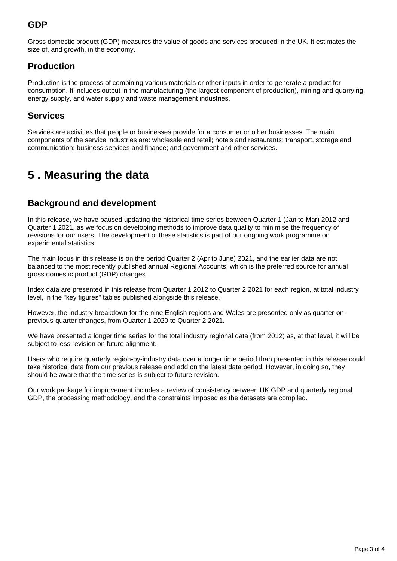### **GDP**

Gross domestic product (GDP) measures the value of goods and services produced in the UK. It estimates the size of, and growth, in the economy.

### **Production**

Production is the process of combining various materials or other inputs in order to generate a product for consumption. It includes output in the manufacturing (the largest component of production), mining and quarrying, energy supply, and water supply and waste management industries.

### **Services**

Services are activities that people or businesses provide for a consumer or other businesses. The main components of the service industries are: wholesale and retail; hotels and restaurants; transport, storage and communication; business services and finance; and government and other services.

## <span id="page-2-0"></span>**5 . Measuring the data**

### **Background and development**

In this release, we have paused updating the historical time series between Quarter 1 (Jan to Mar) 2012 and Quarter 1 2021, as we focus on developing methods to improve data quality to minimise the frequency of revisions for our users. The development of these statistics is part of our ongoing work programme on experimental statistics.

The main focus in this release is on the period Quarter 2 (Apr to June) 2021, and the earlier data are not balanced to the most recently published annual Regional Accounts, which is the preferred source for annual gross domestic product (GDP) changes.

Index data are presented in this release from Quarter 1 2012 to Quarter 2 2021 for each region, at total industry level, in the "key figures" tables published alongside this release.

However, the industry breakdown for the nine English regions and Wales are presented only as quarter-onprevious-quarter changes, from Quarter 1 2020 to Quarter 2 2021.

We have presented a longer time series for the total industry regional data (from 2012) as, at that level, it will be subject to less revision on future alignment.

Users who require quarterly region-by-industry data over a longer time period than presented in this release could take historical data from our previous release and add on the latest data period. However, in doing so, they should be aware that the time series is subject to future revision.

Our work package for improvement includes a review of consistency between UK GDP and quarterly regional GDP, the processing methodology, and the constraints imposed as the datasets are compiled.